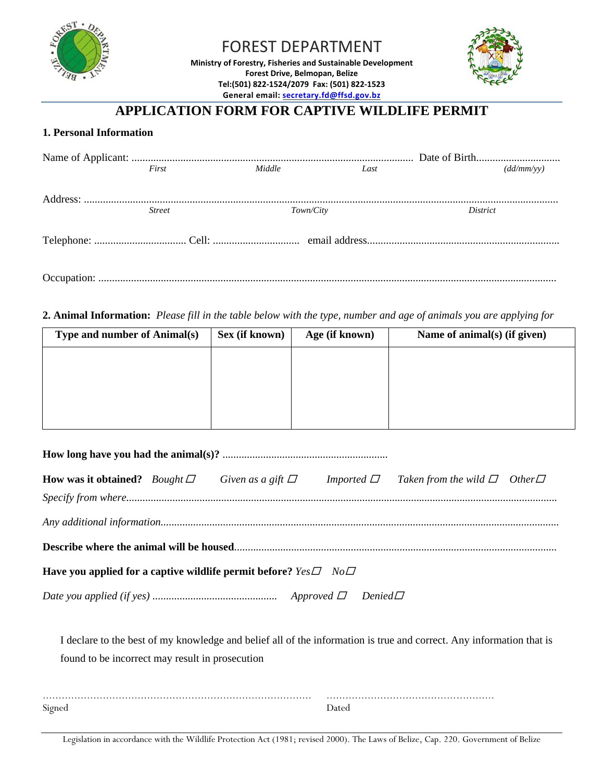

# FOREST DEPARTMENT

**Ministry of Forestry, Fisheries and Sustainable Development Forest Drive, Belmopan, Belize Tel:(501) 822‐1524/2079 Fax: (501) 822‐1523 General email: secretary.fd@ffsd.gov.bz**



## **APPLICATION FORM FOR CAPTIVE WILDLIFE PERMIT**

#### **1. Personal Information**

| First         | Middle    | Last | (dd/mm/vv) |
|---------------|-----------|------|------------|
|               |           |      |            |
|               |           |      |            |
| <b>Street</b> | Town/City |      | District   |
|               |           |      |            |
|               |           |      |            |
|               |           |      |            |
|               |           |      |            |
|               |           |      |            |

#### **2. Animal Information:** *Please fill in the table below with the type, number and age of animals you are applying for*

| Type and number of Animal(s) | Sex (if known) | Age (if known) | Name of animal(s) (if given) |
|------------------------------|----------------|----------------|------------------------------|
|                              |                |                |                              |
|                              |                |                |                              |
|                              |                |                |                              |
|                              |                |                |                              |

| <b>How was it obtained?</b> Bought $\Box$ Given as a gift $\Box$            |  |  |  | Imported $\Box$ Taken from the wild $\Box$ Other $\Box$ |  |
|-----------------------------------------------------------------------------|--|--|--|---------------------------------------------------------|--|
|                                                                             |  |  |  |                                                         |  |
|                                                                             |  |  |  |                                                         |  |
|                                                                             |  |  |  |                                                         |  |
| Have you applied for a captive wildlife permit before? $Yes \Box$ $No \Box$ |  |  |  |                                                         |  |
|                                                                             |  |  |  |                                                         |  |

I declare to the best of my knowledge and belief all of the information is true and correct. Any information that is found to be incorrect may result in prosecution

| Signed | ')ateo |
|--------|--------|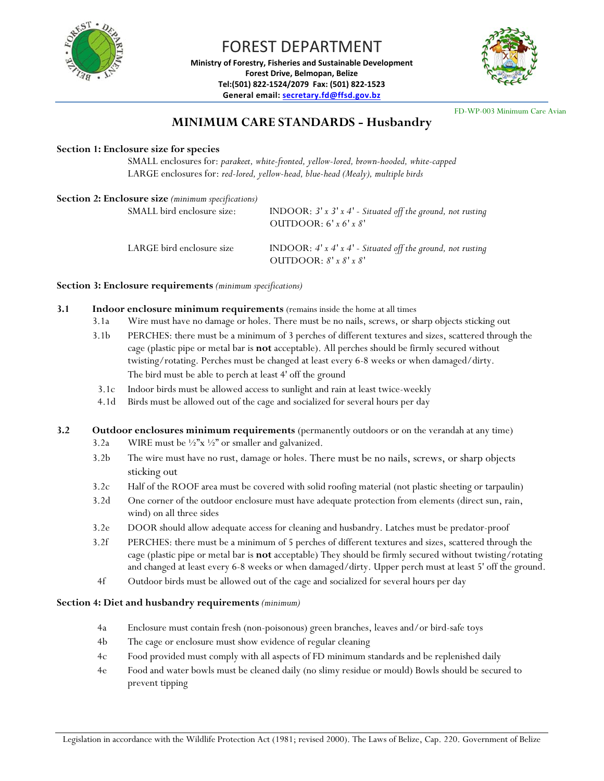

FOREST DEPARTMENT **Ministry of Forestry, Fisheries and Sustainable Development Forest Drive, Belmopan, Belize**

**Tel:(501) 822‐1524/2079 Fax: (501) 822‐1523 General email: secretary.fd@ffsd.gov.bz**

FD-WP-003 Minimum Care Avian

### **MINIMUM CARE STANDARDS - Husbandry**

#### **Section 1: Enclosure size for species**

SMALL enclosures for: *parakeet, white-fronted, yellow-lored, brown-hooded, white-capped* LARGE enclosures for: *red-lored, yellow-head, blue-head (Mealy), multiple birds* 

| Section 2: Enclosure size (minimum specifications) | INDOOR: $3'$ x $3'$ x $4'$ - Situated off the ground, not rusting                                |
|----------------------------------------------------|--------------------------------------------------------------------------------------------------|
| SMALL bird enclosure size:                         | OUTDOOR: $6'$ x $6'$ x $8'$                                                                      |
| LARGE bird enclosure size                          | INDOOR: $4'$ x $4'$ x $4'$ - Situated off the ground, not rusting<br>OUTDOOR: $8'$ x $8'$ x $8'$ |

**Section 3: Enclosure requirements** *(minimum specifications)*

- **3.1 Indoor enclosure minimum requirements** (remains inside the home at all times
	- 3.1a Wire must have no damage or holes. There must be no nails, screws, or sharp objects sticking out
	- 3.1b PERCHES: there must be a minimum of 3 perches of different textures and sizes, scattered through the cage (plastic pipe or metal bar is **not** acceptable). All perches should be firmly secured without twisting/rotating. Perches must be changed at least every 6-8 weeks or when damaged/dirty. The bird must be able to perch at least 4' off the ground
	- 3.1c Indoor birds must be allowed access to sunlight and rain at least twice-weekly
	- 4.1d Birds must be allowed out of the cage and socialized for several hours per day

**3.2 Outdoor enclosures minimum requirements** (permanently outdoors or on the verandah at any time)

- 3.2a WIRE must be  $\frac{1}{2}$ <sup>"</sup>x  $\frac{1}{2}$ " or smaller and galvanized.
- 3.2b The wire must have no rust, damage or holes. There must be no nails, screws, or sharp objects sticking out
- 3.2c Half of the ROOF area must be covered with solid roofing material (not plastic sheeting or tarpaulin)
- 3.2d One corner of the outdoor enclosure must have adequate protection from elements (direct sun, rain, wind) on all three sides
- 3.2e DOOR should allow adequate access for cleaning and husbandry. Latches must be predator-proof
- 3.2f PERCHES: there must be a minimum of 5 perches of different textures and sizes, scattered through the cage (plastic pipe or metal bar is **not** acceptable) They should be firmly secured without twisting/rotating and changed at least every 6-8 weeks or when damaged/dirty. Upper perch must at least 5' off the ground.
- 4f Outdoor birds must be allowed out of the cage and socialized for several hours per day

#### **Section 4: Diet and husbandry requirements** *(minimum)*

- 4a Enclosure must contain fresh (non-poisonous) green branches, leaves and/or bird-safe toys
- 4b The cage or enclosure must show evidence of regular cleaning
- 4c Food provided must comply with all aspects of FD minimum standards and be replenished daily
- 4e Food and water bowls must be cleaned daily (no slimy residue or mould) Bowls should be secured to prevent tipping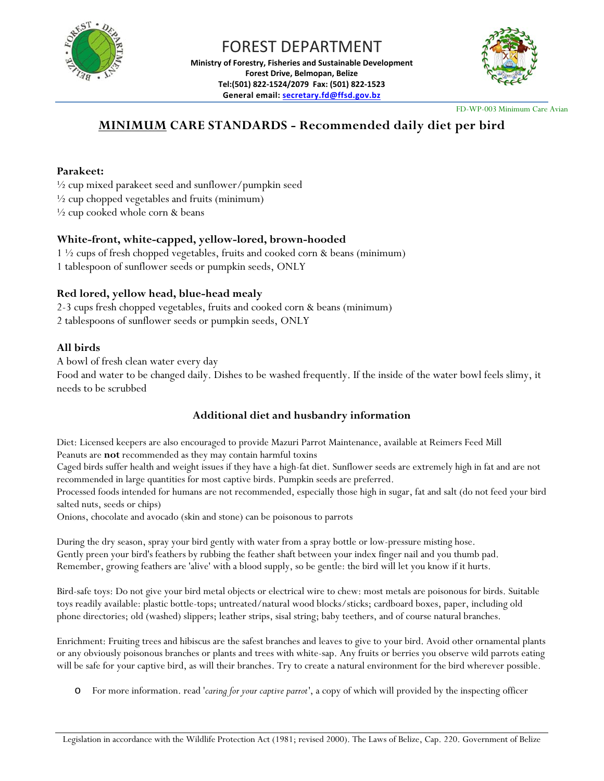



FD-WP-003 Minimum Care Avian

## **MINIMUM CARE STANDARDS - Recommended daily diet per bird**

#### **Parakeet:**

 $\frac{1}{2}$  cup mixed parakeet seed and sunflower/pumpkin seed

 $\frac{1}{2}$  cup chopped vegetables and fruits (minimum)

 $\frac{1}{2}$  cup cooked whole corn & beans

#### **White-front, white-capped, yellow-lored, brown-hooded**

1 ½ cups of fresh chopped vegetables, fruits and cooked corn & beans (minimum) 1 tablespoon of sunflower seeds or pumpkin seeds, ONLY

#### **Red lored, yellow head, blue-head mealy**

2-3 cups fresh chopped vegetables, fruits and cooked corn & beans (minimum) 2 tablespoons of sunflower seeds or pumpkin seeds, ONLY

#### **All birds**

A bowl of fresh clean water every day

Food and water to be changed daily. Dishes to be washed frequently. If the inside of the water bowl feels slimy, it needs to be scrubbed

### **Additional diet and husbandry information**

Diet: Licensed keepers are also encouraged to provide Mazuri Parrot Maintenance, available at Reimers Feed Mill Peanuts are **not** recommended as they may contain harmful toxins

Caged birds suffer health and weight issues if they have a high-fat diet. Sunflower seeds are extremely high in fat and are not recommended in large quantities for most captive birds. Pumpkin seeds are preferred.

Processed foods intended for humans are not recommended, especially those high in sugar, fat and salt (do not feed your bird salted nuts, seeds or chips)

Onions, chocolate and avocado (skin and stone) can be poisonous to parrots

During the dry season, spray your bird gently with water from a spray bottle or low-pressure misting hose. Gently preen your bird's feathers by rubbing the feather shaft between your index finger nail and you thumb pad. Remember, growing feathers are 'alive' with a blood supply, so be gentle: the bird will let you know if it hurts.

Bird-safe toys: Do not give your bird metal objects or electrical wire to chew: most metals are poisonous for birds. Suitable toys readily available: plastic bottle-tops; untreated/natural wood blocks/sticks; cardboard boxes, paper, including old phone directories; old (washed) slippers; leather strips, sisal string; baby teethers, and of course natural branches.

Enrichment: Fruiting trees and hibiscus are the safest branches and leaves to give to your bird. Avoid other ornamental plants or any obviously poisonous branches or plants and trees with white-sap. Any fruits or berries you observe wild parrots eating will be safe for your captive bird, as will their branches. Try to create a natural environment for the bird wherever possible.

o For more information. read '*caring for your captive parrot'*, a copy of which will provided by the inspecting officer